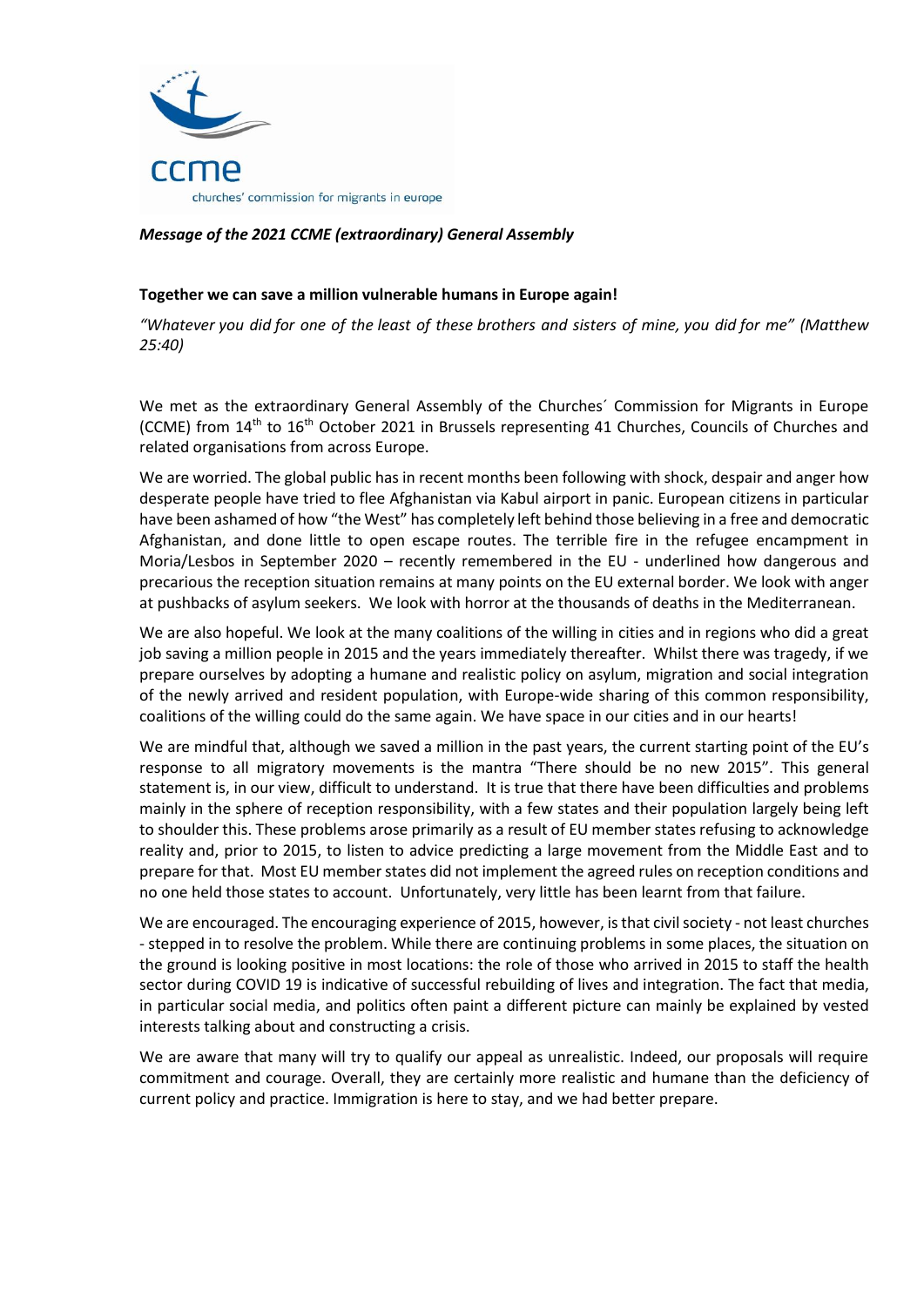

## *Message of the 2021 CCME (extraordinary) General Assembly*

## **Together we can save a million vulnerable humans in Europe again!**

*"Whatever you did for one of the least of these brothers and sisters of mine, you did for me" (Matthew 25:40)*

We met as the extraordinary General Assembly of the Churches´ Commission for Migrants in Europe (CCME) from 14<sup>th</sup> to 16<sup>th</sup> October 2021 in Brussels representing 41 Churches, Councils of Churches and related organisations from across Europe.

We are worried. The global public has in recent months been following with shock, despair and anger how desperate people have tried to flee Afghanistan via Kabul airport in panic. European citizens in particular have been ashamed of how "the West" has completely left behind those believing in a free and democratic Afghanistan, and done little to open escape routes. The terrible fire in the refugee encampment in Moria/Lesbos in September 2020 – recently remembered in the EU - underlined how dangerous and precarious the reception situation remains at many points on the EU external border. We look with anger at pushbacks of asylum seekers. We look with horror at the thousands of deaths in the Mediterranean.

We are also hopeful. We look at the many coalitions of the willing in cities and in regions who did a great job saving a million people in 2015 and the years immediately thereafter. Whilst there was tragedy, if we prepare ourselves by adopting a humane and realistic policy on asylum, migration and social integration of the newly arrived and resident population, with Europe-wide sharing of this common responsibility, coalitions of the willing could do the same again. We have space in our cities and in our hearts!

We are mindful that, although we saved a million in the past years, the current starting point of the EU's response to all migratory movements is the mantra "There should be no new 2015". This general statement is, in our view, difficult to understand. It is true that there have been difficulties and problems mainly in the sphere of reception responsibility, with a few states and their population largely being left to shoulder this. These problems arose primarily as a result of EU member states refusing to acknowledge reality and, prior to 2015, to listen to advice predicting a large movement from the Middle East and to prepare for that. Most EU member states did not implement the agreed rules on reception conditions and no one held those states to account. Unfortunately, very little has been learnt from that failure.

We are encouraged. The encouraging experience of 2015, however, is that civil society - not least churches - stepped in to resolve the problem. While there are continuing problems in some places, the situation on the ground is looking positive in most locations: the role of those who arrived in 2015 to staff the health sector during COVID 19 is indicative of successful rebuilding of lives and integration. The fact that media, in particular social media, and politics often paint a different picture can mainly be explained by vested interests talking about and constructing a crisis.

We are aware that many will try to qualify our appeal as unrealistic. Indeed, our proposals will require commitment and courage. Overall, they are certainly more realistic and humane than the deficiency of current policy and practice. Immigration is here to stay, and we had better prepare.